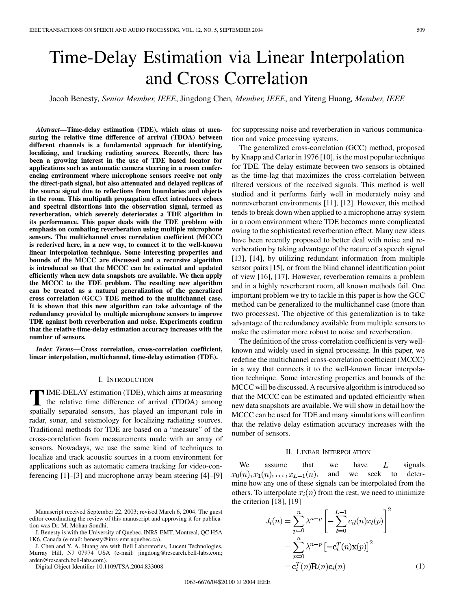# Time-Delay Estimation via Linear Interpolation and Cross Correlation

Jacob Benesty*, Senior Member, IEEE*, Jingdong Chen*, Member, IEEE*, and Yiteng Huang*, Member, IEEE*

*Abstract—***Time-delay estimation (TDE), which aims at measuring the relative time difference of arrival (TDOA) between different channels is a fundamental approach for identifying, localizing, and tracking radiating sources. Recently, there has been a growing interest in the use of TDE based locator for applications such as automatic camera steering in a room conferencing environment where microphone sensors receive not only the direct-path signal, but also attenuated and delayed replicas of the source signal due to reflections from boundaries and objects in the room. This multipath propagation effect introduces echoes and spectral distortions into the observation signal, termed as reverberation, which severely deteriorates a TDE algorithm in its performance. This paper deals with the TDE problem with emphasis on combating reverberation using multiple microphone sensors. The multichannel cross correlation coefficient (MCCC) is rederived here, in a new way, to connect it to the well-known linear interpolation technique. Some interesting properties and bounds of the MCCC are discussed and a recursive algorithm is introduced so that the MCCC can be estimated and updated efficiently when new data snapshots are available. We then apply the MCCC to the TDE problem. The resulting new algorithm can be treated as a natural generalization of the generalized cross correlation (GCC) TDE method to the multichannel case. It is shown that this new algorithm can take advantage of the redundancy provided by multiple microphone sensors to improve TDE against both reverberation and noise. Experiments confirm that the relative time-delay estimation accuracy increases with the number of sensors.**

*Index Terms—***Cross correlation, cross-correlation coefficient, linear interpolation, multichannel, time-delay estimation (TDE).**

## I. INTRODUCTION

**T**IME-DELAY estimation (TDE), which aims at measuring<br>the relative time difference of arrival (TDOA) among<br>contielly concerted concern has played an important relation spatially separated sensors, has played an important role in radar, sonar, and seismology for localizing radiating sources. Traditional methods for TDE are based on a "measure" of the cross-correlation from measurements made with an array of sensors. Nowadays, we use the same kind of techniques to localize and track acoustic sources in a room environment for applications such as automatic camera tracking for video-conferencing [\[1](#page-9-0)]–[[3\]](#page-9-0) and microphone array beam steering [\[4](#page-9-0)]–[[9\]](#page-10-0)

J. Benesty is with the University of Quebec, INRS-EMT, Montreal, QC H5A 1K6, Canada (e-mail: benesty@inrs-emt.uquebec.ca).

J. Chen and Y. A. Huang are with Bell Laboratories, Lucent Technologies, Murray Hill, NJ 07974 USA (e-mail: jingdong@research.bell-labs.com; arden@research.bell-labs.com).

Digital Object Identifier 10.1109/TSA.2004.833008

for suppressing noise and reverberation in various communication and voice processing systems.

The generalized cross-correlation (GCC) method, proposed by Knapp and Carter in 1976 [\[10](#page-10-0)], is the most popular technique for TDE. The delay estimate between two sensors is obtained as the time-lag that maximizes the cross-correlation between filtered versions of the received signals. This method is well studied and it performs fairly well in moderately noisy and nonreverberant environments [[11\]](#page-10-0), [[12\]](#page-10-0). However, this method tends to break down when applied to a microphone array system in a room environment where TDE becomes more complicated owing to the sophisticated reverberation effect. Many new ideas have been recently proposed to better deal with noise and reverberation by taking advantage of the nature of a speech signal [\[13](#page-10-0)], [[14\]](#page-10-0), by utilizing redundant information from multiple sensor pairs [\[15](#page-10-0)], or from the blind channel identification point of view [\[16](#page-10-0)], [[17\]](#page-10-0). However, reverberation remains a problem and in a highly reverberant room, all known methods fail. One important problem we try to tackle in this paper is how the GCC method can be generalized to the multichannel case (more than two processes). The objective of this generalization is to take advantage of the redundancy available from multiple sensors to make the estimator more robust to noise and reverberation.

The definition of the cross-correlation coefficient is very wellknown and widely used in signal processing. In this paper, we redefine the multichannel cross-correlation coefficient (MCCC) in a way that connects it to the well-known linear interpolation technique. Some interesting properties and bounds of the MCCC will be discussed. A recursive algorithm is introduced so that the MCCC can be estimated and updated efficiently when new data snapshots are available. We will show in detail how the MCCC can be used for TDE and many simulations will confirm that the relative delay estimation accuracy increases with the number of sensors.

#### II. LINEAR INTERPOLATION

We assume that we have  $L$  signals  $x_0(n), x_1(n), \ldots, x_{L-1}(n)$ , and we seek to determine how any one of these signals can be interpolated from the others. To interpolate  $x_i(n)$  from the rest, we need to minimize the criterion  $[18]$  $[18]$ ,  $[19]$  $[19]$ 

$$
J_i(n) = \sum_{p=0}^{n} \lambda^{n-p} \left[ -\sum_{l=0}^{L-1} c_{il}(n)x_l(p) \right]^2
$$
  
= 
$$
\sum_{p=0}^{n} \lambda^{n-p} \left[ -\mathbf{c}_i^T(n)\mathbf{x}(p) \right]^2
$$
  
= 
$$
\mathbf{c}_i^T(n)\mathbf{R}(n)\mathbf{c}_i(n)
$$
 (1)

Manuscript received September 22, 2003; revised March 6, 2004. The guest editor coordinating the review of this manuscript and approving it for publication was Dr. M. Mohan Sondhi.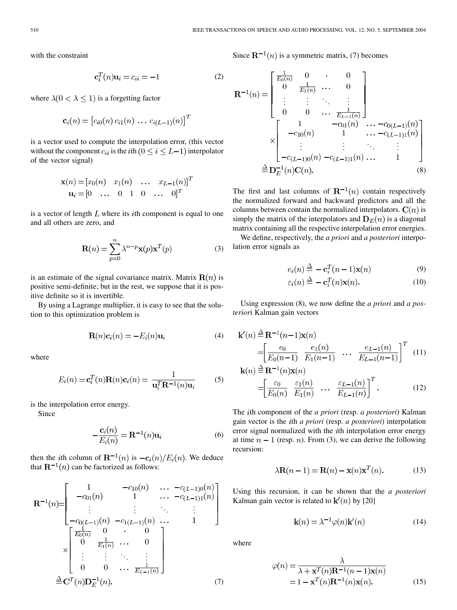with the constraint

$$
\mathbf{c}_i^T(n)\mathbf{u}_i = c_{ii} = -1 \tag{2}
$$

where  $\lambda(0 < \lambda \leq 1)$  is a forgetting factor

$$
\mathbf{c}_i(n) = [c_{i0}(n) c_{i1}(n) \dots c_{i(L-1)}(n)]^T
$$

is a vector used to compute the interpolation error, (this vector without the component  $c_{ii}$  is the *i*th  $(0 \le i \le L-1)$  interpolator of the vector signal)

$$
\mathbf{x}(n) = [x_0(n) \quad x_1(n) \quad \dots \quad x_{L-1}(n)]^T \mathbf{u}_i = [0 \quad \dots \quad 0 \quad 1 \quad 0 \quad \dots \quad 0]^T
$$

is a vector of length  $L$  where its *i*th component is equal to one and all others are zero, and

$$
\mathbf{R}(n) = \sum_{p=0}^{n} \lambda^{n-p} \mathbf{x}(p) \mathbf{x}^{T}(p)
$$
 (3)

is an estimate of the signal covariance matrix. Matrix  $\mathbf{R}(n)$  is positive semi-definite; but in the rest, we suppose that it is positive definite so it is invertible.

By using a Lagrange multiplier, it is easy to see that the solution to this optimization problem is

$$
\mathbf{R}(n)\mathbf{c}_i(n) = -E_i(n)\mathbf{u}_i \tag{4}
$$

where

$$
E_i(n) = \mathbf{c}_i^T(n)\mathbf{R}(n)\mathbf{c}_i(n) = \frac{1}{\mathbf{u}_i^T \mathbf{R}^{-1}(n)\mathbf{u}_i}
$$
 (5)

is the interpolation error energy.

Since

$$
-\frac{\mathbf{c}_i(n)}{E_i(n)} = \mathbf{R}^{-1}(n)\mathbf{u}_i
$$
 (6)

then the *i*th column of  $\mathbf{R}^{-1}(n)$  is  $-\mathbf{c}_i(n)/E_i(n)$ . We deduce that  $\mathbf{R}^{-1}(n)$  can be factorized as follows:

$$
\mathbf{R}^{-1}(n) = \begin{bmatrix} 1 & -c_{10}(n) & \dots & -c_{(L-1)0}(n) \\ -c_{01}(n) & 1 & \dots & -c_{(L-1)1}(n) \\ \vdots & \vdots & \ddots & \vdots \\ -c_{0(L-1)}(n) & -c_{1(L-1)}(n) & \dots & 1 \end{bmatrix}
$$

$$
\times \begin{bmatrix} \frac{1}{E_0(n)} & 0 & \dots & 0 \\ 0 & \frac{1}{E_1(n)} & \dots & 0 \\ \vdots & \vdots & \ddots & \vdots \\ 0 & 0 & \dots & \frac{1}{E_{L-1}(n)} \end{bmatrix}
$$

$$
\stackrel{\triangle}{=} \mathbf{C}^{T}(n) \mathbf{D}_{E}^{-1}(n).
$$
(7)

Since  $\mathbf{R}^{-1}(n)$  is a symmetric matrix, (7) becomes

$$
\mathbf{R}^{-1}(n) = \begin{bmatrix} \frac{1}{E_0(n)} & 0 & \cdot & 0 \\ 0 & \frac{1}{E_1(n)} & \cdots & 0 \\ \vdots & \vdots & \ddots & \vdots \\ 0 & 0 & \cdots & \frac{1}{E_{L-1}(n)} \end{bmatrix}
$$

$$
\times \begin{bmatrix} 1 & -c_{01}(n) & \cdots & -c_{0(L-1)}(n) \\ -c_{10}(n) & 1 & \cdots & -c_{(L-1)1}(n) \\ \vdots & \vdots & \ddots & \vdots \\ -c_{(L-1)0}(n) & -c_{(L-1)1}(n) & \cdots & 1 \end{bmatrix}
$$

$$
\stackrel{\triangle}{=} \mathbf{D}_{L}^{-1}(n)\mathbf{C}(n).
$$
(8)

The first and last columns of  $\mathbb{R}^{-1}(n)$  contain respectively the normalized forward and backward predictors and all the columns between contain the normalized interpolators.  $C(n)$  is simply the matrix of the interpolators and  $\mathbf{D}_E(n)$  is a diagonal matrix containing all the respective interpolation error energies.

We define, respectively, the *a priori* and *a posteriori* interpolation error signals as

$$
e_i(n) \stackrel{\Delta}{=} -\mathbf{c}_i^T(n-1)\mathbf{x}(n) \tag{9}
$$

$$
\varepsilon_i(n) \stackrel{\Delta}{=} -\mathbf{c}_i^T(n)\mathbf{x}(n). \tag{10}
$$

Using expression (8), we now define the *a priori* and *a posterior*i Kalman gain vectors

$$
\mathbf{k}'(n) \stackrel{\Delta}{=} \mathbf{R}^{-1}(n-1)\mathbf{x}(n)
$$
\n
$$
= \left[\frac{e_0}{E_0(n-1)} \cdot \frac{e_1(n)}{E_1(n-1)} \cdot \dots \cdot \frac{e_{L-1}(n)}{E_{L-1}(n-1)}\right]^T \quad (11)
$$
\n
$$
\mathbf{k}(n) \stackrel{\Delta}{=} \mathbf{R}^{-1}(n)\mathbf{x}(n)
$$

$$
= \left[\frac{\varepsilon_0}{E_0(n)} \cdot \frac{\varepsilon_1(n)}{E_1(n)} \cdot \dots \cdot \frac{\varepsilon_{L-1}(n)}{E_{L-1}(n)}\right]^T.
$$
 (12)

The th component of the *a priori* (resp. *a posteriori*) Kalman gain vector is the th *a priori* (resp. *a posteriori*) interpolation error signal normalized with the  $i$ th interpolation error energy at time  $n-1$  (resp. n). From (3), we can derive the following recursion:

$$
\lambda \mathbf{R}(n-1) = \mathbf{R}(n) - \mathbf{x}(n)\mathbf{x}^T(n).
$$
 (13)

Using this recursion, it can be shown that the *a posteriori* Kalman gain vector is related to  $\mathbf{k}'(n)$  by [[20\]](#page-10-0)

$$
\mathbf{k}(n) = \lambda^{-1} \varphi(n) \mathbf{k}'(n) \tag{14}
$$

where

$$
\varphi(n) = \frac{\lambda}{\lambda + \mathbf{x}^T(n)\mathbf{R}^{-1}(n-1)\mathbf{x}(n)}
$$
  
= 1 - \mathbf{x}^T(n)\mathbf{R}^{-1}(n)\mathbf{x}(n). (15)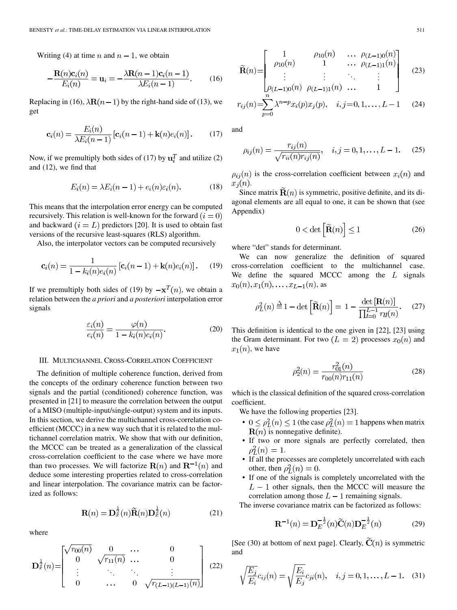Writing (4) at time *n* and  $n - 1$ , we obtain

$$
-\frac{\mathbf{R}(n)\mathbf{c}_i(n)}{E_i(n)} = \mathbf{u}_i = -\frac{\lambda \mathbf{R}(n-1)\mathbf{c}_i(n-1)}{\lambda E_i(n-1)}.
$$
 (16)

Replacing in (16),  $\lambda \mathbf{R}(n-1)$  by the right-hand side of (13), we get

$$
\mathbf{c}_i(n) = \frac{E_i(n)}{\lambda E_i(n-1)} [\mathbf{c}_i(n-1) + \mathbf{k}(n)e_i(n)]. \tag{17}
$$

Now, if we premultiply both sides of (17) by  $\mathbf{u}_i^T$  and utilize (2) and (12), we find that

$$
E_i(n) = \lambda E_i(n-1) + e_i(n)\varepsilon_i(n). \tag{18}
$$

This means that the interpolation error energy can be computed recursively. This relation is well-known for the forward  $(i = 0)$ and backward  $(i = L)$  predictors [\[20](#page-10-0)]. It is used to obtain fast versions of the recursive least-squares (RLS) algorithm.

Also, the interpolator vectors can be computed recursively

$$
\mathbf{c}_i(n) = \frac{1}{1 - k_i(n)e_i(n)} \left[ \mathbf{c}_i(n-1) + \mathbf{k}(n)e_i(n) \right].
$$
 (19)

If we premultiply both sides of (19) by  $-x^T(n)$ , we obtain a relation between the *a priori* and *a posteriori* interpolation error signals

$$
\frac{\varepsilon_i(n)}{e_i(n)} = \frac{\varphi(n)}{1 - k_i(n)e_i(n)}.\tag{20}
$$

#### III. MULTICHANNEL CROSS-CORRELATION COEFFICIENT

The definition of multiple coherence function, derived from the concepts of the ordinary coherence function between two signals and the partial (conditioned) coherence function, was presented in [\[21](#page-10-0)] to measure the correlation between the output of a MISO (multiple-input/single-output) system and its inputs. In this section, we derive the multichannel cross-correlation coefficient (MCCC) in a new way such that it is related to the multichannel correlation matrix. We show that with our definition, the MCCC can be treated as a generalization of the classical cross-correlation coefficient to the case where we have more than two processes. We will factorize  $\mathbf{R}(n)$  and  $\mathbf{R}^{-1}(n)$  and deduce some interesting properties related to cross-correlation and linear interpolation. The covariance matrix can be factorized as follows:

$$
\mathbf{R}(n) = \mathbf{D}_{x}^{\frac{1}{2}}(n)\widetilde{\mathbf{R}}(n)\mathbf{D}_{x}^{\frac{1}{2}}(n) \tag{21}
$$

where

$$
\mathbf{D}_{x}^{\frac{1}{2}}(n) = \begin{bmatrix} \sqrt{r_{00}(n)} & 0 & \cdots & 0 \\ 0 & \sqrt{r_{11}(n)} & \cdots & 0 \\ \vdots & \ddots & \ddots & \vdots \\ 0 & \cdots & 0 & \sqrt{r_{(L-1)(L-1)}(n)} \end{bmatrix}
$$
(22)

$$
\widetilde{\mathbf{R}}(n) = \begin{bmatrix}\n1 & \rho_{10}(n) & \cdots & \rho_{(L-1)0}(n) \\
\rho_{10}(n) & 1 & \cdots & \rho_{(L-1)1}(n) \\
\vdots & \vdots & \ddots & \vdots \\
\rho_{(L-1)0}(n) & \rho_{(L-1)1}(n) & \cdots & 1\n\end{bmatrix}
$$
\n(23)

 $r_{ij}(n) = \sum_{p=0} \lambda^{n-p} x_i(p) x_j(p), \quad i, j = 0, 1, ..., L-1$ (24)

and

$$
\rho_{ij}(n) = \frac{r_{ij}(n)}{\sqrt{r_{ii}(n)r_{ij}(n)}}, \quad i, j = 0, 1, ..., L - 1.
$$
 (25)

 $\rho_{ij}(n)$  is the cross-correlation coefficient between  $x_i(n)$  and  $x_i(n)$ .

Since matrix  $\mathbf{R}(n)$  is symmetric, positive definite, and its diagonal elements are all equal to one, it can be shown that (see Appendix)

$$
0 < \det\left[\widetilde{\mathbf{R}}(n)\right] \le 1\tag{26}
$$

where "det" stands for determinant.

We can now generalize the definition of squared cross-correlation coefficient to the multichannel case. We define the squared MCCC among the  $L$  signals  $x_0(n), x_1(n), \ldots, x_{L-1}(n)$ , as

$$
\rho_L^2(n) \stackrel{\Delta}{=} 1 - \det\left[\widetilde{\mathbf{R}}(n)\right] = 1 - \frac{\det\left[\mathbf{R}(n)\right]}{\prod_{l=0}^{L-1} r_{ll}(n)}.
$$
 (27)

This definition is identical to the one given in [\[22](#page-10-0)], [\[23](#page-10-0)] using the Gram determinant. For two  $(L = 2)$  processes  $x_0(n)$  and  $x_1(n)$ , we have

$$
\rho_2^2(n) = \frac{r_{01}^2(n)}{r_{00}(n)r_{11}(n)}\tag{28}
$$

which is the classical definition of the squared cross-correlation coefficient.

We have the following properties [[23\]](#page-10-0).

- $0 \le \rho_L^2(n) \le 1$  (the case  $\rho_L^2(n) = 1$  happens when matrix  $\mathbf{R}(n)$  is nonnegative definite).
- If two or more signals are perfectly correlated, then  $\rho^2_L(n) = 1.$
- If all the processes are completely uncorrelated with each other, then  $\rho_L^2(n) = 0$ .
- If one of the signals is completely uncorrelated with the  $L-1$  other signals, then the MCCC will measure the correlation among those  $L-1$  remaining signals.

The inverse covariance matrix can be factorized as follows:

$$
\mathbf{R}^{-1}(n) = \mathbf{D}_E^{-\frac{1}{2}}(n)\widetilde{\mathbf{C}}(n)\mathbf{D}_E^{-\frac{1}{2}}(n) \tag{29}
$$

[See (30) at bottom of next page]. Clearly,  $\tilde{C}(n)$  is symmetric and

$$
\sqrt{\frac{E_j}{E_i}}c_{ij}(n) = \sqrt{\frac{E_i}{E_j}}c_{ji}(n), \quad i, j = 0, 1, ..., L - 1.
$$
 (31)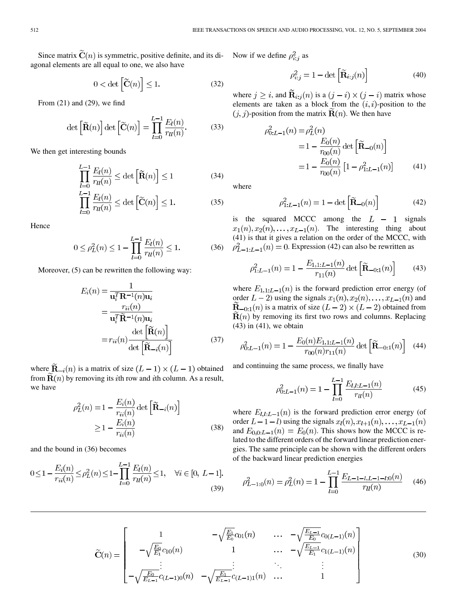Since matrix  $\tilde{\mathbf{C}}(n)$  is symmetric, positive definite, and its diagonal elements are all equal to one, we also have

$$
0 < \det\left[\widetilde{\mathbf{C}}(n)\right] \le 1. \tag{32}
$$

From  $(21)$  and  $(29)$ , we find

$$
\det\left[\widetilde{\mathbf{R}}(n)\right]\det\left[\widetilde{\mathbf{C}}(n)\right] = \prod_{l=0}^{L-1} \frac{E_l(n)}{r_{ll}(n)}.\tag{33}
$$

We then get interesting bounds

$$
\prod_{l=0}^{L-1} \frac{E_l(n)}{r_{ll}(n)} \le \det\left[\widetilde{\mathbf{R}}(n)\right] \le 1\tag{34}
$$

$$
\prod_{l=0}^{L-1} \frac{E_l(n)}{r_{ll}(n)} \le \det \left[ \widetilde{\mathbf{C}}(n) \right] \le 1.
$$
 (35)

Hence

$$
0 \le \rho_L^2(n) \le 1 - \prod_{l=0}^{L-1} \frac{E_l(n)}{r_{ll}(n)} \le 1.
$$
 (36)

Moreover, (5) can be rewritten the following way:

$$
E_i(n) = \frac{1}{\mathbf{u}_i^T \mathbf{R}^{-1}(n)\mathbf{u}_i}
$$
  
= 
$$
\frac{r_{ii}(n)}{\mathbf{u}_i^T \widetilde{\mathbf{R}}^{-1}(n)\mathbf{u}_i}
$$
  
= 
$$
r_{ii}(n) \frac{\det\left[\widetilde{\mathbf{R}}(n)\right]}{\det\left[\widetilde{\mathbf{R}}_{-i}(n)\right]}
$$
(37)

where  $\widetilde{\mathbf{R}}_{-i}(n)$  is a matrix of size  $(L-1) \times (L-1)$  obtained from  $\mathbf{R}(n)$  by removing its *i*th row and *i*th column. As a result, we have

$$
\rho_L^2(n) = 1 - \frac{E_i(n)}{r_{ii}(n)} \det\left[\widetilde{\mathbf{R}}_{-i}(n)\right]
$$

$$
\ge 1 - \frac{E_i(n)}{r_{ii}(n)}
$$
(38)

and the bound in (36) becomes

$$
0 \le 1 - \frac{E_i(n)}{r_{ii}(n)} \le \rho_L^2(n) \le 1 - \prod_{l=0}^{L-1} \frac{E_l(n)}{r_{ll}(n)} \le 1, \quad \forall i \in [0, L-1].
$$
\n(39)

Now if we define  $\rho_{i:j}^2$  as

$$
\rho_{i:j}^2 = 1 - \det\left[\widetilde{\mathbf{R}}_{i:j}(n)\right]
$$
\n(40)

where  $j \geq i$ , and  $\mathbf{\tilde{R}}_{i:j}(n)$  is a  $(j - i) \times (j - i)$  matrix whose elements are taken as a block from the  $(i, i)$ -position to the  $(j, j)$ -position from the matrix  $\mathbf{R}(n)$ . We then have

$$
\rho_{0:L-1}^2(n) = \rho_L^2(n)
$$
  
=  $1 - \frac{E_0(n)}{r_{00}(n)}$  det  $\left[\widetilde{\mathbf{R}}_{-0}(n)\right]$   
=  $1 - \frac{E_0(n)}{r_{00}(n)} \left[1 - \rho_{1:L-1}^2(n)\right]$  (41)

where

$$
\rho_{1:L-1}^2(n) = 1 - \det\left[\tilde{\mathbf{R}}_{-0}(n)\right]
$$
 (42)

(36)  $\rho_{L-1:L-1}^2(n) = 0$ . Expression (42) can also be rewritten as is the squared MCCC among the  $L - 1$  signals  $x_1(n), x_2(n), \ldots, x_{L-1}(n)$ . The interesting thing about (41) is that it gives a relation on the order of the MCCC, with

$$
\rho_{1:L-1}^2(n) = 1 - \frac{E_{1,1:L-1}(n)}{r_{11}(n)} \det\left[\widetilde{\mathbf{R}}_{-0:1}(n)\right]
$$
(43)

where  $E_{1,1:L-1}(n)$  is the forward prediction error energy (of order  $L-2$ ) using the signals  $x_1(n), x_2(n), \ldots, x_{L-1}(n)$  and  $\mathbf{R}_{-0:1}(n)$  is a matrix of size  $(L-2) \times (L-2)$  obtained from  **by removing its first two rows and columns. Replacing** (43) in (41), we obtain

$$
\rho_{0:L-1}^2(n) = 1 - \frac{E_0(n)E_{1,1:L-1}(n)}{r_{00}(n)r_{11}(n)} \det\left[\widetilde{\mathbf{R}}_{-0:1}(n)\right]
$$
(44)

and continuing the same process, we finally have

$$
\rho_{0:L-1}^2(n) = 1 - \prod_{l=0}^{L-1} \frac{E_{l,l:L-1}(n)}{r_{ll}(n)}\tag{45}
$$

where  $E_{l,t:L-1}(n)$  is the forward prediction error energy (of order  $L-1-l$ ) using the signals  $x_l(n), x_{l+1}(n), \ldots, x_{L-1}(n)$ and  $E_{0,0:L-1}(n) = E_0(n)$ . This shows how the MCCC is related to the different orders of the forward linear prediction energies. The same principle can be shown with the different orders of the backward linear prediction energies

$$
\rho_{L-1:0}^2(n) = \rho_L^2(n) = 1 - \prod_{l=0}^{L-1} \frac{E_{L-1-l,L-1-l:0}(n)}{r_{ll}(n)} \tag{46}
$$

$$
\widetilde{\mathbf{C}}(n) = \begin{bmatrix}\n1 & -\sqrt{\frac{E_1}{E_0}} c_{01}(n) & \cdots & -\sqrt{\frac{E_{L-1}}{E_0}} c_{0(L-1)}(n) \\
-\sqrt{\frac{E_0}{E_1}} c_{10}(n) & 1 & \cdots & -\sqrt{\frac{E_{L-1}}{E_1}} c_{1(L-1)}(n) \\
\vdots & \vdots & \ddots & \vdots \\
-\sqrt{\frac{E_0}{E_{L-1}}} c_{(L-1)0}(n) & -\sqrt{\frac{E_1}{E_{L-1}}} c_{(L-1)1}(n) & \cdots & 1\n\end{bmatrix}
$$
\n(30)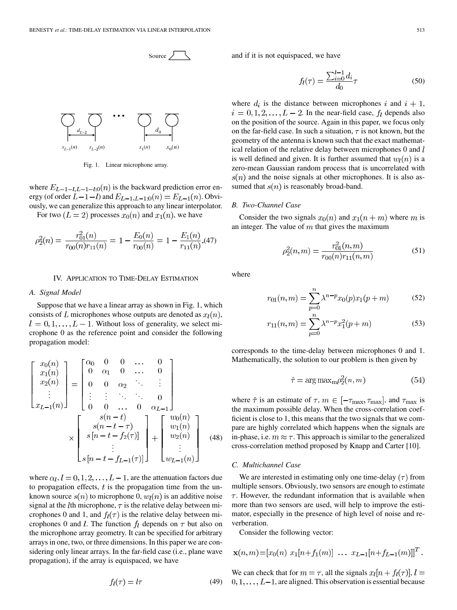

Fig. 1. Linear microphone array.

where  $E_{L-1-l,L-1-l:0}(n)$  is the backward prediction error energy (of order  $L-1-l$ ) and  $E_{L-1,L-1:0}(n) = E_{L-1}(n)$ . Obviously, we can generalize this approach to any linear interpolator. For two  $(L = 2)$  processes  $x_0(n)$  and  $x_1(n)$ , we have

$$
\rho_2^2(n) = \frac{r_{01}^2(n)}{r_{00}(n)r_{11}(n)} = 1 - \frac{E_0(n)}{r_{00}(n)} = 1 - \frac{E_1(n)}{r_{11}(n)}.
$$
(47)

## IV. APPLICATION TO TIME-DELAY ESTIMATION

## *A. Signal Model*

Suppose that we have a linear array as shown in Fig. 1, which consists of L microphones whose outputs are denoted as  $x_l(n)$ ,  $l = 0, 1, \ldots, L - 1$ . Without loss of generality, we select microphone 0 as the reference point and consider the following propagation model:

$$
\begin{bmatrix}\nx_0(n) \\
x_1(n) \\
x_2(n) \\
\vdots \\
x_{L-1}(n)\n\end{bmatrix} = \begin{bmatrix}\n\alpha_0 & 0 & 0 & \dots & 0 \\
0 & \alpha_1 & 0 & \dots & 0 \\
0 & 0 & \alpha_2 & \ddots & \vdots \\
\vdots & \vdots & \ddots & \ddots & 0 \\
0 & 0 & \dots & 0 & \alpha_{L-1}\n\end{bmatrix}\n\begin{bmatrix}\nx_0(n) \\
x_{L-1}(n)\n\end{bmatrix}
$$
\n
$$
\times \begin{bmatrix}\ns(n-t) \\
s(n-t-\tau) \\
\vdots \\
s[n-t-f_{L-1}(\tau)]\n\end{bmatrix} + \begin{bmatrix}\nw_0(n) \\
w_1(n) \\
w_2(n) \\
\vdots \\
w_{L-1}(n)\n\end{bmatrix} (48)
$$

where  $\alpha_l$ ,  $l = 0, 1, 2, \dots, L-1$ , are the attenuation factors due to propagation effects,  $t$  is the propagation time from the unknown source  $s(n)$  to microphone 0,  $w_l(n)$  is an additive noise signal at the *l*th microphone,  $\tau$  is the relative delay between microphones 0 and 1, and  $f_l(\tau)$  is the relative delay between microphones 0 and *l*. The function  $f_l$  depends on  $\tau$  but also on the microphone array geometry. It can be specified for arbitrary arrays in one, two, or three dimensions. In this paper we are considering only linear arrays. In the far-field case (i.e., plane wave propagation), if the array is equispaced, we have

$$
f_l(\tau) = l\tau \tag{49}
$$

and if it is not equispaced, we have

$$
f_l(\tau) = \frac{\sum_{i=0}^{l-1} d_i}{d_0} \tau \tag{50}
$$

where  $d_i$  is the distance between microphones i and  $i + 1$ ,  $i = 0, 1, 2, \dots, L - 2$ . In the near-field case,  $f_l$  depends also on the position of the source. Again in this paper, we focus only on the far-field case. In such a situation,  $\tau$  is not known, but the geometry of the antenna is known such that the exact mathematical relation of the relative delay between microphones 0 and l is well defined and given. It is further assumed that  $w_l(n)$  is a zero-mean Gaussian random process that is uncorrelated with  $s(n)$  and the noise signals at other microphones. It is also assumed that  $s(n)$  is reasonably broad-band.

#### *B. Two-Channel Case*

Consider the two signals  $x_0(n)$  and  $x_1(n+m)$  where m is an integer. The value of  $m$  that gives the maximum

$$
\rho_2^2(n,m) = \frac{r_{01}^2(n,m)}{r_{00}(n)r_{11}(n,m)}\tag{51}
$$

where

$$
r_{01}(n,m) = \sum_{p=0}^{n} \lambda^{n-p} x_0(p) x_1(p+m)
$$
 (52)

$$
r_{11}(n,m) = \sum_{p=0}^{n} \lambda^{n-p} x_1^2(p+m)
$$
 (53)

corresponds to the time-delay between microphones 0 and 1. Mathematically, the solution to our problem is then given by

$$
\hat{\tau} = \arg \max_{m} \rho_2^2(n, m) \tag{54}
$$

where  $\hat{\tau}$  is an estimate of  $\tau$ ,  $m \in [-\tau_{\text{max}}, \tau_{\text{max}}]$ , and  $\tau_{\text{max}}$  is the maximum possible delay. When the cross-correlation coefficient is close to 1, this means that the two signals that we compare are highly correlated which happens when the signals are in-phase, i.e.  $m \approx \tau$ . This approach is similar to the generalized cross-correlation method proposed by Knapp and Carter [\[10](#page-10-0)].

#### *C. Multichannel Case*

We are interested in estimating only one time-delay  $(\tau)$  from multiple sensors. Obviously, two sensors are enough to estimate  $\tau$ . However, the redundant information that is available when more than two sensors are used, will help to improve the estimator, especially in the presence of high level of noise and reverberation.

Consider the following vector:

$$
\mathbf{x}(n,m) = [x_0(n) \ x_1[n+f_1(m)] \ \dots \ x_{L-1}[n+f_{L-1}(m)]]^T.
$$

We can check that for  $m = \tau$ , all the signals  $x_l[n + f_l(\tau)], l =$  $0, 1, \ldots, L-1$ , are aligned. This observation is essential because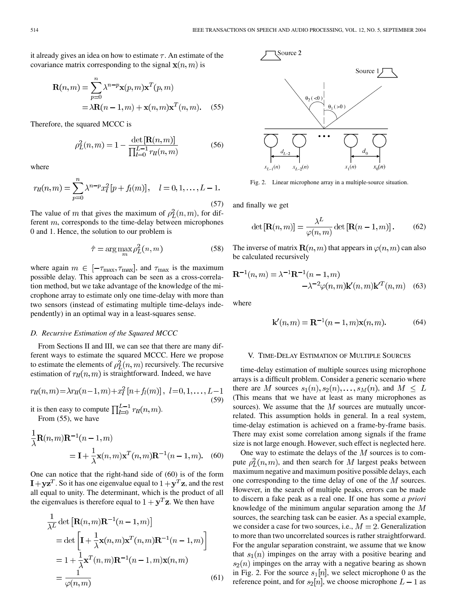it already gives an idea on how to estimate  $\tau$ . An estimate of the covariance matrix corresponding to the signal  $\mathbf{x}(n,m)$  is

$$
\mathbf{R}(n,m) = \sum_{p=0}^{n} \lambda^{n-p} \mathbf{x}(p,m) \mathbf{x}^{T}(p,m)
$$

$$
= \lambda \mathbf{R}(n-1,m) + \mathbf{x}(n,m) \mathbf{x}^{T}(n,m). \quad (55)
$$

Therefore, the squared MCCC is

$$
\rho_L^2(n,m) = 1 - \frac{\det[\mathbf{R}(n,m)]}{\prod_{l=0}^{L-1} r_{ll}(n,m)}
$$
(56)

where

$$
r_{ll}(n,m) = \sum_{p=0}^{n} \lambda^{n-p} x_l^2 [p + f_l(m)], \quad l = 0, 1, \dots, L - 1.
$$
\n(57)

The value of m that gives the maximum of  $\rho_L^2(n, m)$ , for different  $m$ , corresponds to the time-delay between microphones 0 and 1. Hence, the solution to our problem is

$$
\hat{\tau} = \arg \max_{m} \rho_L^2(n, m) \tag{58}
$$

where again  $m \in [-\tau_{\text{max}}, \tau_{\text{max}}]$ , and  $\tau_{\text{max}}$  is the maximum possible delay. This approach can be seen as a cross-correlation method, but we take advantage of the knowledge of the microphone array to estimate only one time-delay with more than two sensors (instead of estimating multiple time-delays independently) in an optimal way in a least-squares sense.

#### *D. Recursive Estimation of the Squared MCCC*

From Sections II and III, we can see that there are many different ways to estimate the squared MCCC. Here we propose to estimate the elements of  $\rho_L^2(n,m)$  recursively. The recursive estimation of  $r_l(n,m)$  is straightforward. Indeed, we have

$$
ru(n,m) = \lambda ru(n-1,m) + x_l^2 [n+f_l(m)], \ l=0,1,\ldots,L-1
$$
\n(59)

it is then easy to compute  $\prod_{l=0}^{L-1} r_{ll}(n,m)$ . From (55), we have

$$
\frac{1}{\lambda}\mathbf{R}(n,m)\mathbf{R}^{-1}(n-1,m)
$$
  
=  $\mathbf{I} + \frac{1}{\lambda}\mathbf{x}(n,m)\mathbf{x}^T(n,m)\mathbf{R}^{-1}(n-1,m).$  (60)

One can notice that the right-hand side of (60) is of the form  $I + yz^{T}$ . So it has one eigenvalue equal to  $1 + y^{T}z$ , and the rest all equal to unity. The determinant, which is the product of all the eigenvalues is therefore equal to  $1 + y^T z$ . We then have

$$
\frac{1}{\lambda^{L}} \det \left[ \mathbf{R}(n, m) \mathbf{R}^{-1}(n - 1, m) \right]
$$
\n
$$
= \det \left[ \mathbf{I} + \frac{1}{\lambda} \mathbf{x}(n, m) \mathbf{x}^{T}(n, m) \mathbf{R}^{-1}(n - 1, m) \right]
$$
\n
$$
= 1 + \frac{1}{\lambda} \mathbf{x}^{T}(n, m) \mathbf{R}^{-1}(n - 1, m) \mathbf{x}(n, m)
$$
\n
$$
= \frac{1}{\varphi(n, m)}
$$
\n(61)



Fig. 2. Linear microphone array in a multiple-source situation.

and finally we get

$$
\det\left[\mathbf{R}(n,m)\right] = \frac{\lambda^L}{\varphi(n,m)} \det\left[\mathbf{R}(n-1,m)\right].\tag{62}
$$

The inverse of matrix  $\mathbf{R}(n,m)$  that appears in  $\varphi(n,m)$  can also be calculated recursively

$$
\mathbf{R}^{-1}(n,m) = \lambda^{-1}\mathbf{R}^{-1}(n-1,m)
$$

$$
-\lambda^{-2}\varphi(n,m)\mathbf{k}'(n,m)\mathbf{k}^{T}(n,m)
$$
(63)

where

$$
\mathbf{k}'(n,m) = \mathbf{R}^{-1}(n-1,m)\mathbf{x}(n,m).
$$
 (64)

## V. TIME-DELAY ESTIMATION OF MULTIPLE SOURCES

time-delay estimation of multiple sources using microphone arrays is a difficult problem. Consider a generic scenario where there are M sources  $s_1(n), s_2(n), \ldots, s_M(n)$ , and  $M \leq L$ (This means that we have at least as many microphones as sources). We assume that the  $M$  sources are mutually uncorrelated. This assumption holds in general. In a real system, time-delay estimation is achieved on a frame-by-frame basis. There may exist some correlation among signals if the frame size is not large enough. However, such effect is neglected here.

One way to estimate the delays of the  $M$  sources is to compute  $\rho_L^2(n,m)$ , and then search for M largest peaks between maximum negative and maximum positive possible delays, each one corresponding to the time delay of one of the  $M$  sources. However, in the search of multiple peaks, errors can be made to discern a fake peak as a real one. If one has some *a priori* knowledge of the minimum angular separation among the  $M$ sources, the searching task can be easier. As a special example, we consider a case for two sources, i.e.,  $M = 2$ . Generalization to more than two uncorrelated sources is rather straightforward. For the angular separation constraint, we assume that we know that  $s_1(n)$  impinges on the array with a positive bearing and  $s_2(n)$  impinges on the array with a negative bearing as shown in Fig. 2. For the source  $s_1[n]$ , we select microphone 0 as the reference point, and for  $s_2[n]$ , we choose microphone  $L-1$  as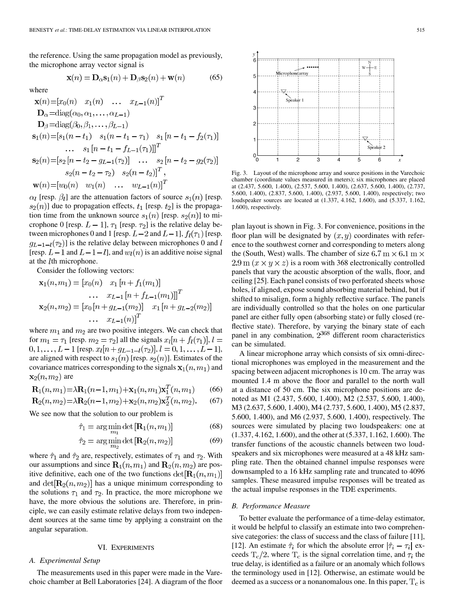the reference. Using the same propagation model as previously, the microphone array vector signal is

$$
\mathbf{x}(n) = \mathbf{D}_{\alpha} \mathbf{s}_1(n) + \mathbf{D}_{\beta} \mathbf{s}_2(n) + \mathbf{w}(n) \tag{65}
$$

where

$$
\mathbf{x}(n) = [x_0(n) \quad x_1(n) \quad \dots \quad x_{L-1}(n)]^T
$$
  
\n
$$
\mathbf{D}_{\alpha} = \text{diag}(\alpha_0, \alpha_1, \dots, \alpha_{L-1})
$$
  
\n
$$
\mathbf{D}_{\beta} = \text{diag}(\beta_0, \beta_1, \dots, \beta_{L-1})
$$
  
\n
$$
\mathbf{s}_1(n) = [s_1(n - t_1) \quad s_1(n - t_1 - \tau_1) \quad s_1 [n - t_1 - f_2(\tau_1)]
$$
  
\n
$$
\dots \quad s_1 [n - t_1 - f_{L-1}(\tau_1)]]^T
$$
  
\n
$$
\mathbf{s}_2(n) = [s_2 [n - t_2 - g_{L-1}(\tau_2)] \quad \dots \quad s_2 [n - t_2 - g_2(\tau_2)]
$$
  
\n
$$
s_2(n - t_2 - \tau_2) \quad s_2(n - t_2)]^T
$$
  
\n
$$
\mathbf{w}(n) = [w_0(n) \quad w_1(n) \quad \dots \quad w_{L-1}(n)]^T
$$

 $\alpha_l$  [resp.  $\beta_l$ ] are the attenuation factors of source  $s_1(n)$  [resp.  $s_2(n)$ ] due to propagation effects,  $t_1$  [resp.  $t_2$ ] is the propagation time from the unknown source  $s_1(n)$  [resp.  $s_2(n)$ ] to microphone 0 [resp.  $L - 1$ ],  $\tau_1$  [resp.  $\tau_2$ ] is the relative delay between microphones 0 and 1 [resp.  $L-2$  and  $L-1$ ],  $f_l(\tau_1)$  [resp.  $q_{L-1-l}(\tau_2)$  is the relative delay between microphones 0 and l [resp.  $L-1$  and  $L-1-l$ ], and  $w_l(n)$  is an additive noise signal at the  $l$ th microphone.

Consider the following vectors:

$$
\mathbf{x}_{1}(n, m_{1}) = [x_{0}(n) \quad x_{1}[n + f_{1}(m_{1})]
$$

$$
\dots \quad x_{L-1}[n + f_{L-1}(m_{1})]]^{T}
$$

$$
\mathbf{x}_{2}(n, m_{2}) = [x_{0}[n + g_{L-1}(m_{2})] \quad x_{1}[n + g_{L-2}(m_{2})]
$$

$$
\dots \quad x_{L-1}(n)]^{T}
$$

where  $m_1$  and  $m_2$  are two positive integers. We can check that for  $m_1 = \tau_1$  [resp.  $m_2 = \tau_2$ ] all the signals  $x_l[n + f_l(\tau_1)], l =$  $[0, 1, \ldots, L-1]$  [resp.  $x_l[n+g_{L-1-l}(\tau_2)], l = 0, 1, \ldots, L-1],$ are aligned with respect to  $s_1(n)$  [resp.  $s_2(n)$ ]. Estimates of the covariance matrices corresponding to the signals  $x_1(n, m_1)$  and  $\mathbf{x}_2(n,m_2)$  are

$$
\mathbf{R}_1(n, m_1) = \lambda \mathbf{R}_1(n-1, m_1) + \mathbf{x}_1(n, m_1) \mathbf{x}_1^T(n, m_1)
$$
 (66)

$$
\mathbf{R}_2(n, m_2) = \lambda \mathbf{R}_2(n-1, m_2) + \mathbf{x}_2(n, m_2) \mathbf{x}_2^T(n, m_2).
$$
 (67)

We see now that the solution to our problem is

$$
\hat{\tau}_1 = \arg\min_{m_1} \det\left[\mathbf{R}_1(n, m_1)\right] \tag{68}
$$

$$
\hat{\tau}_2 = \arg\min_{m_2} \det\left[\mathbf{R}_2(n, m_2)\right] \tag{69}
$$

where  $\hat{\tau}_1$  and  $\hat{\tau}_2$  are, respectively, estimates of  $\tau_1$  and  $\tau_2$ . With our assumptions and since  $\mathbf{R}_1(n, m_1)$  and  $\mathbf{R}_2(n, m_2)$  are positive definitive, each one of the two functions  $det[\mathbf{R}_1(n, m_1)]$ and  $\det[\mathbf{R}_2(n, m_2)]$  has a unique minimum corresponding to the solutions  $\tau_1$  and  $\tau_2$ . In practice, the more microphone we have, the more obvious the solutions are. Therefore, in principle, we can easily estimate relative delays from two independent sources at the same time by applying a constraint on the angular separation.

#### VI. EXPERIMENTS

## *A. Experimental Setup*

The measurements used in this paper were made in the Varechoic chamber at Bell Laboratories [[24\]](#page-10-0). A diagram of the floor



Fig. 3. Layout of the microphone array and source positions in the Varechoic chamber (coordinate values measured in meters); six microphones are placed at (2.437, 5.600, 1.400), (2.537, 5.600, 1.400), (2.637, 5.600, 1.400), (2.737, 5.600, 1.400), (2.837, 5.600, 1.400), (2.937, 5.600, 1.400), respectively; two loudspeaker sources are located at (1.337, 4.162, 1.600), and (5.337, 1.162, 1.600), respectively.

plan layout is shown in Fig. 3. For convenience, positions in the floor plan will be designated by  $(x, y)$  coordinates with reference to the southwest corner and corresponding to meters along the (South, West) walls. The chamber of size 6.7 m  $\times$  6.1 m  $\times$ 2.9 m  $(x \times y \times z)$  is a room with 368 electronically controlled panels that vary the acoustic absorption of the walls, floor, and ceiling [[25\]](#page-10-0). Each panel consists of two perforated sheets whose holes, if aligned, expose sound absorbing material behind, but if shifted to misalign, form a highly reflective surface. The panels are individually controlled so that the holes on one particular panel are either fully open (absorbing state) or fully closed (reflective state). Therefore, by varying the binary state of each panel in any combination,  $2^{368}$  different room characteristics can be simulated.

A linear microphone array which consists of six omni-directional microphones was employed in the measurement and the spacing between adjacent microphones is 10 cm. The array was mounted 1.4 m above the floor and parallel to the north wall at a distance of 50 cm. The six microphone positions are denoted as M1 (2.437, 5.600, 1.400), M2 (2.537, 5.600, 1.400), M3 (2.637, 5.600, 1.400), M4 (2.737, 5.600, 1.400), M5 (2.837, 5.600, 1.400), and M6 (2.937, 5.600, 1.400), respectively. The sources were simulated by placing two loudspeakers: one at (1.337, 4.162, 1.600), and the other at (5.337, 1.162, 1.600). The transfer functions of the acoustic channels between two loudspeakers and six microphones were measured at a 48 kHz sampling rate. Then the obtained channel impulse responses were downsampled to a 16 kHz sampling rate and truncated to 4096 samples. These measured impulse responses will be treated as the actual impulse responses in the TDE experiments.

### *B. Performance Measure*

To better evaluate the performance of a time-delay estimator, it would be helpful to classify an estimate into two comprehensive categories: the class of success and the class of failure [\[11](#page-10-0)], [\[12](#page-10-0)]. An estimate  $\hat{\tau}_i$  for which the absolute error  $|\hat{\tau}_i - \tau_i|$  exceeds  $T_c/2$ , where  $T_c$  is the signal correlation time, and  $\tau_i$  the true delay, is identified as a failure or an anomaly which follows the terminology used in [\[12](#page-10-0)]. Otherwise, an estimate would be deemed as a success or a nonanomalous one. In this paper,  $T_c$  is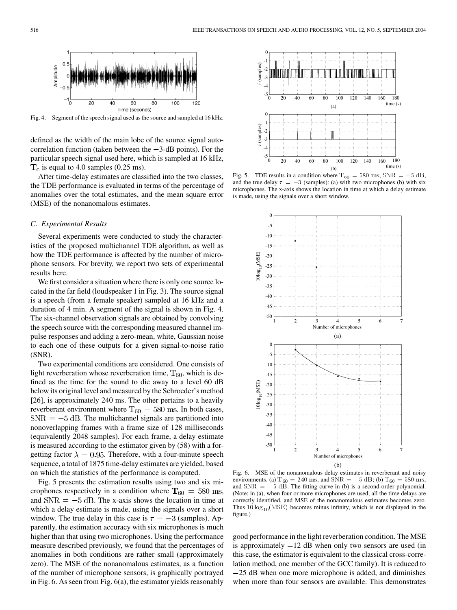

Fig. 4. Segment of the speech signal used as the source and sampled at 16 kHz.

defined as the width of the main lobe of the source signal autocorrelation function (taken between the  $-3$ -dB points). For the particular speech signal used here, which is sampled at 16 kHz,  $T_c$  is equal to 4.0 samples (0.25 ms).

After time-delay estimates are classified into the two classes, the TDE performance is evaluated in terms of the percentage of anomalies over the total estimates, and the mean square error (MSE) of the nonanomalous estimates.

## *C. Experimental Results*

Several experiments were conducted to study the characteristics of the proposed multichannel TDE algorithm, as well as how the TDE performance is affected by the number of microphone sensors. For brevity, we report two sets of experimental results here.

We first consider a situation where there is only one source located in the far field (loudspeaker 1 in Fig. 3). The source signal is a speech (from a female speaker) sampled at 16 kHz and a duration of 4 min. A segment of the signal is shown in Fig. 4. The six-channel observation signals are obtained by convolving the speech source with the corresponding measured channel impulse responses and adding a zero-mean, white, Gaussian noise to each one of these outputs for a given signal-to-noise ratio (SNR).

Two experimental conditions are considered. One consists of light reverberation whose reverberation time,  $T_{60}$ , which is defined as the time for the sound to die away to a level 60 dB below its original level and measured by the Schroeder's method [[26\]](#page-10-0), is approximately 240 ms. The other pertains to a heavily reverberant environment where  $T_{60} = 580$  ms. In both cases,  $SNR = -5$  dB. The multichannel signals are partitioned into nonoverlapping frames with a frame size of 128 milliseconds (equivalently 2048 samples). For each frame, a delay estimate is measured according to the estimator given by (58) with a forgetting factor  $\lambda = 0.95$ . Therefore, with a four-minute speech sequence, a total of 1875 time-delay estimates are yielded, based on which the statistics of the performance is computed.

Fig. 5 presents the estimation results using two and six microphones respectively in a condition where  $T_{60} = 580$  ms, and  $SNR = -5$  dB. The x-axis shows the location in time at which a delay estimate is made, using the signals over a short window. The true delay in this case is  $\tau = -3$  (samples). Apparently, the estimation accuracy with six microphones is much higher than that using two microphones. Using the performance measure described previously, we found that the percentages of anomalies in both conditions are rather small (approximately zero). The MSE of the nonanomalous estimates, as a function of the number of microphone sensors, is graphically portrayed in Fig. 6. As seen from Fig. 6(a), the estimator yields reasonably



microphones. The x-axis shows the location in time at which a delay estimate is made, using the signals over a short window.



Fig. 6. MSE of the nonanomalous delay estimates in reverberant and noisy (b)<br>Fig. 6. MSE of the nonanomalous delay estimates in reverberant and noisy<br>environments. (a)  $T_{60} = 240$  ms, and SNR = -5 dB; (b)  $T_{60} = 580$  ms,<br>and SNR = -5 dB. The fitting curve in (b) is a second-order polynomial. (Note: in (a), when four or more microphones are used, all the time delays are correctly identified, and MSE of the nonanomalous estimates becomes zero. Thus  $10 \log_{10}(\text{MSE})$  becomes minus infinity, which is not displayed in the figure.)

good performance in the light reverberation condition. The MSE is approximately  $-12$  dB when only two sensors are used (in this case, the estimator is equivalent to the classical cross-correlation method, one member of the GCC family). It is reduced to 25 dB when one more microphone is added, and diminishes when more than four sensors are available. This demonstrates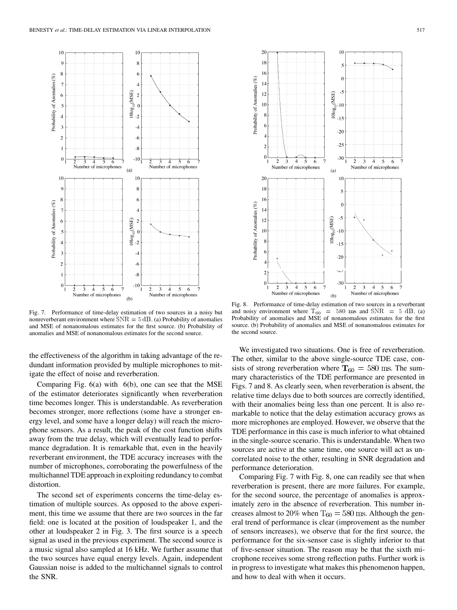

Fig. 7. Performance of time-delay estimation of two sources in a noisy but nonreverberant environment where  $SNR = 5$  dB. (a) Probability of anomalies and MSE of nonanomalous estimates for the first source. (b) Probability of anomalies and MSE of nonanomalous estimates for the second source.

the effectiveness of the algorithm in taking advantage of the redundant information provided by multiple microphones to mitigate the effect of noise and reverberation.

Comparing Fig. 6(a) with 6(b), one can see that the MSE of the estimator deteriorates significantly when reverberation time becomes longer. This is understandable. As reverberation becomes stronger, more reflections (some have a stronger energy level, and some have a longer delay) will reach the microphone sensors. As a result, the peak of the cost function shifts away from the true delay, which will eventually lead to performance degradation. It is remarkable that, even in the heavily reverberant environment, the TDE accuracy increases with the number of microphones, corroborating the powerfulness of the multichannel TDE approach in exploiting redundancy to combat distortion.

The second set of experiments concerns the time-delay estimation of multiple sources. As opposed to the above experiment, this time we assume that there are two sources in the far field: one is located at the position of loudspeaker 1, and the other at loudspeaker 2 in Fig. 3. The first source is a speech signal as used in the previous experiment. The second source is a music signal also sampled at 16 kHz. We further assume that the two sources have equal energy levels. Again, independent Gaussian noise is added to the multichannel signals to control the SNR.



Fig. 8. Performance of time-delay estimation of two sources in a reverberant and noisy environment where  $T_{60}$  = 580 ms and SNR = 5 dB. (a) Probability of anomalies and MSE of nonanomalous estimates for the first source. (b) Probability of anomalies and MSE of nonanomalous estimates for the second source.

We investigated two situations. One is free of reverberation. The other, similar to the above single-source TDE case, consists of strong reverberation where  $T_{60} = 580$  ms. The summary characteristics of the TDE performance are presented in Figs. 7 and 8. As clearly seen, when reverberation is absent, the relative time delays due to both sources are correctly identified, with their anomalies being less than one percent. It is also remarkable to notice that the delay estimation accuracy grows as more microphones are employed. However, we observe that the TDE performance in this case is much inferior to what obtained in the single-source scenario. This is understandable. When two sources are active at the same time, one source will act as uncorrelated noise to the other, resulting in SNR degradation and performance deterioration.

Comparing Fig. 7 with Fig. 8, one can readily see that when reverberation is present, there are more failures. For example, for the second source, the percentage of anomalies is approximately zero in the absence of reverberation. This number increases almost to 20% when  $T_{60} = 580$  ms. Although the general trend of performance is clear (improvement as the number of sensors increases), we observe that for the first source, the performance for the six-sensor case is slightly inferior to that of five-sensor situation. The reason may be that the sixth microphone receives some strong reflection paths. Further work is in progress to investigate what makes this phenomenon happen, and how to deal with when it occurs.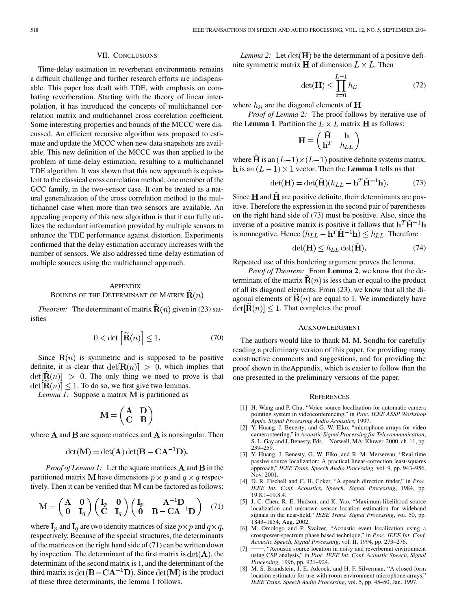## VII. CONCLUSIONS

<span id="page-9-0"></span>Time-delay estimation in reverberant environments remains a difficult challenge and further research efforts are indispensable. This paper has dealt with TDE, with emphasis on combating reverberation. Starting with the theory of linear interpolation, it has introduced the concepts of multichannel correlation matrix and multichannel cross correlation coefficient. Some interesting properties and bounds of the MCCC were discussed. An efficient recursive algorithm was proposed to estimate and update the MCCC when new data snapshots are available. This new definition of the MCCC was then applied to the problem of time-delay estimation, resulting to a multichannel TDE algorithm. It was shown that this new approach is equivalent to the classical cross correlation method, one member of the GCC family, in the two-sensor case. It can be treated as a natural generalization of the cross correlation method to the multichannel case when more than two sensors are available. An appealing property of this new algorithm is that it can fully utilizes the redundant information provided by multiple sensors to enhance the TDE performance against distortion. Experiments confirmed that the delay estimation accuracy increases with the number of sensors. We also addressed time-delay estimation of multiple sources using the multichannel approach.

## **APPENDIX** BOUNDS OF THE DETERMINANT OF MATRIX  $\widetilde{\mathbf{R}}(n)$

*Theorem:* The determinant of matrix  $\tilde{\mathbf{R}}(n)$  given in (23) satisfies

$$
0 < \det\left[\widetilde{\mathbf{R}}(n)\right] \le 1. \tag{70}
$$

Since  $\mathbf{R}(n)$  is symmetric and is supposed to be positive definite, it is clear that  $det[\mathbf{R}(n)] > 0$ , which implies that  $\det[\mathbf{R}(n)] > 0$ . The only thing we need to prove is that  $\det[\mathbf{R}(n)] \leq 1$ . To do so, we first give two lemmas.

*Lemma 1:* Suppose a matrix **M** is partitioned as

$$
\mathbf{M} = \begin{pmatrix} \mathbf{A} & \mathbf{D} \\ \mathbf{C} & \mathbf{B} \end{pmatrix}
$$

where  $A$  and  $B$  are square matrices and  $A$  is nonsingular. Then

$$
\det(\mathbf{M}) = \det(\mathbf{A}) \det(\mathbf{B} - \mathbf{C}\mathbf{A}^{-1}\mathbf{D}).
$$

*Proof of Lemma 1:* Let the square matrices  $\bf{A}$  and  $\bf{B}$  in the partitioned matrix **M** have dimensions  $p \times p$  and  $q \times q$  respectively. Then it can be verified that  $M$  can be factored as follows:

$$
\mathbf{M} = \begin{pmatrix} \mathbf{A} & \mathbf{0} \\ \mathbf{0} & \mathbf{I}_q \end{pmatrix} \begin{pmatrix} \mathbf{I}_p & \mathbf{0} \\ \mathbf{C} & \mathbf{I}_q \end{pmatrix} \begin{pmatrix} \mathbf{I}_p & \mathbf{A}^{-1} \mathbf{D} \\ \mathbf{0} & \mathbf{B} - \mathbf{C} \mathbf{A}^{-1} \mathbf{D} \end{pmatrix} \tag{71}
$$

where  $\mathbf{I}_p$  and  $\mathbf{I}_q$  are two identity matrices of size  $p \times p$  and  $q \times q$ , respectively. Because of the special structures, the determinants of the matrices on the right hand side of (71) can be written down by inspection. The determinant of the first matrix is  $det(\mathbf{A})$ , the determinant of the second matrix is 1, and the determinant of the third matrix is  $\det(\mathbf{B} - \mathbf{C}\mathbf{A}^{-1}\mathbf{D})$ . Since  $\det(\mathbf{M})$  is the product of these three determinants, the lemma 1 follows.

*Lemma 2:* Let  $det(\mathbf{H})$  be the determinant of a positive definite symmetric matrix **H** of dimension  $L \times L$ . Then

$$
\det(\mathbf{H}) \le \prod_{i=0}^{L-1} h_{ii} \tag{72}
$$

where  $h_{ii}$  are the diagonal elements of **H**.

*Proof of Lemma 2:* The proof follows by iterative use of the **Lemma 1**. Partition the  $L \times L$  matrix **H** as follows:

$$
\mathbf{H} = \begin{pmatrix} \tilde{\mathbf{H}} & \mathbf{h} \\ \mathbf{h}^T & h_{LL} \end{pmatrix}
$$

where **H** is an  $(L-1) \times (L-1)$  positive definite systems matrix, h is an  $(L-1) \times 1$  vector. Then the **Lemma 1** tells us that

$$
\det(\mathbf{H}) = \det(\tilde{\mathbf{H}})(h_{LL} - \mathbf{h}^T \tilde{\mathbf{H}}^{-1} \mathbf{h}).
$$
 (73)

Since  $H$  and  $H$  are positive definite, their determinants are positive. Therefore the expression in the second pair of parentheses on the right hand side of (73) must be positive. Also, since the inverse of a positive matrix is positive it follows that  $\mathbf{h}^T \tilde{\mathbf{H}}^{-1} \mathbf{h}$ is nonnegative. Hence  $(h_{LL} - \mathbf{h}^T \tilde{\mathbf{H}}^{-1} \mathbf{h}) \leq h_{LL}$ . Therefore

$$
\det(\mathbf{H}) \le h_{LL} \det(\mathbf{H}).\tag{74}
$$

Repeated use of this bordering argument proves the lemma.

*Proof of Theorem:* From **Lemma 2**, we know that the determinant of the matrix  $\mathbf{R}(n)$  is less than or equal to the product of all its diagonal elements. From (23), we know that all the diagonal elements of  $\mathbf{R}(n)$  are equal to 1. We immediately have  $\det[\mathbf{R}(n)] \leq 1$ . That completes the proof.

#### ACKNOWLEDGMENT

The authors would like to thank M. M. Sondhi for carefully reading a preliminary version of this paper, for providing many constructive comments and suggestions, and for providing the proof shown in theAppendix, which is easier to follow than the one presented in the preliminary versions of the paper.

#### **REFERENCES**

- [1] H. Wang and P. Chu, "Voice source localization for automatic camera pointing system in videoconferencing," in *Proc. IEEE ASSP Workshop Appls. Signal Processing Audio Acoustics*, 1997.
- [2] Y. Huang, J. Benesty, and G. W. Elko, "microphone arrays for video camera steering," in *Acoustic Signal Processing for Telecommunication*, S. L. Gay and J. Benesty, Eds. Norwell, MA: Kluwer, 2000, ch. 11, pp. 239–259.
- [3] Y. Huang, J. Benesty, G. W. Elko, and R. M. Mersereau, "Real-time passive source localization: A practical linear-correction least-squares approach," *IEEE Trans. Speech Audio Processing*, vol. 9, pp. 943–956, Nov. 2001.
- [4] D. R. Fischell and C. H. Coker, "A speech direction finder," in *Proc. IEEE Int. Conf. Acoustics, Speech, Signal Processing*, 1984, pp. 19.8.1–19.8.4.
- [5] J. C. Chen, R. E. Hudson, and K. Yao, "Maximum-likelihood source localization and unknown sensor location estimation for wideband signals in the near-field," *IEEE Trans. Signal Processing*, vol. 50, pp. 1843–1854, Aug. 2002.
- [6] M. Omologo and P. Svaizer, "Acoustic event localization using a crosspower-spectrum phase based technique," in *Proc. IEEE Int. Conf. Acoustic Speech, Signal Processing*, vol. II, 1994, pp. 273–276.
- -, "Acoustic source location in noisy and reverberant environment using CSP analysis," in *Proc. IEEE Int. Conf. Acoustic Speech, Signal Processing*, 1996, pp. 921–924.
- [8] M. S. Brandstein, J. E. Adcock, and H. F. Silverman, "A closed-form location estimator for use with room environment microphone arrays," *IEEE Trans. Speech Audio Processing*, vol. 5, pp. 45–50, Jan. 1997.